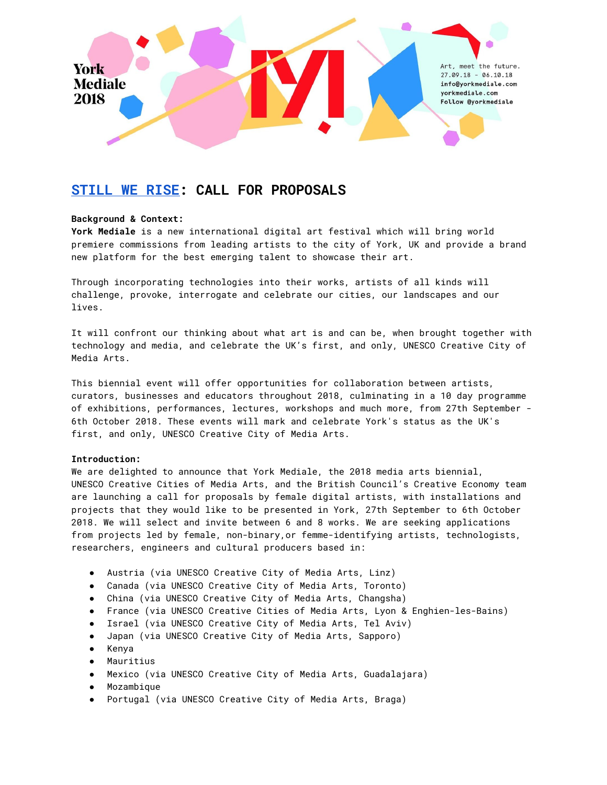

# **[STILL](https://www.poemhunter.com/poem/still-i-rise) WE RISE: CALL FOR PROPOSALS**

## **Background & Context:**

**York Mediale** is a new international digital art festival which will bring world premiere commissions from leading artists to the city of York, UK and provide a brand new platform for the best emerging talent to showcase their art.

Through incorporating technologies into their works, artists of all kinds will challenge, provoke, interrogate and celebrate our cities, our landscapes and our lives.

It will confront our thinking about what art is and can be, when brought together with technology and media, and celebrate the UK's first, and only, UNESCO Creative City of Media Arts.

This biennial event will offer opportunities for collaboration between artists, curators, businesses and educators throughout 2018, culminating in a 10 day programme of exhibitions, performances, lectures, workshops and much more, from 27th September - 6th October 2018. These events will mark and celebrate York's status as the UK's first, and only, UNESCO Creative City of Media Arts.

## **Introduction:**

We are delighted to announce that York Mediale, the 2018 media arts biennial, UNESCO Creative Cities of Media Arts, and the British Council's Creative Economy team are launching a call for proposals by female digital artists, with installations and projects that they would like to be presented in York, 27th September to 6th October 2018. We will select and invite between 6 and 8 works. We are seeking applications from projects led by female, non-binary,or femme-identifying artists, technologists, researchers, engineers and cultural producers based in:

- Austria (via UNESCO Creative City of Media Arts, Linz)
- Canada (via UNESCO Creative City of Media Arts, Toronto)
- China (via UNESCO Creative City of Media Arts, Changsha)
- France (via UNESCO Creative Cities of Media Arts, Lyon & Enghien-les-Bains)
- Israel (via UNESCO Creative City of Media Arts, Tel Aviv)
- Japan (via UNESCO Creative City of Media Arts, Sapporo)
- Kenya
- Mauritius
- Mexico (via UNESCO Creative City of Media Arts, Guadalajara)
- Mozambique
- Portugal (via UNESCO Creative City of Media Arts, Braga)